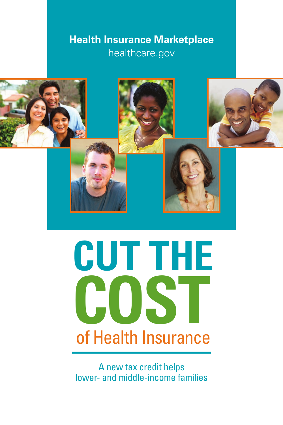## **Health Insurance Marketplace** healthcare.gov



# **CUT THE COST** of Health Insurance

A new tax credit helps lower- and middle-income families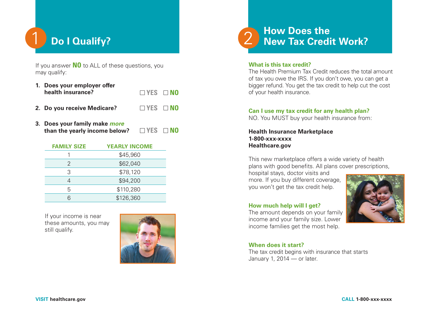

If you answer **NO** to ALL of these questions, you may qualify:

- **1. Does your employer offer health insurance? YES NO**
- **2. Do you receive Medicare? YES NO**
- **3. Does your family make** *more* **than the yearly income below?**  $\Box$  YES  $\Box$  NO

| <b>FAMILY SIZE</b> | <b>YEARLY INCOME</b> |
|--------------------|----------------------|
|                    | \$45,960             |
| 2                  | \$62,040             |
| 3                  | \$78,120             |
| 4                  | \$94,200             |
| 5                  | \$110,280            |
|                    | \$126,360            |

 If your income is near these amounts, you may still qualify.





#### **What is this tax credit?**

The Health Premium Tax Credit reduces the total amount of tax you owe the IRS. If you don't owe, you can get a bigger refund. You get the tax credit to help cut the cost of your health insurance.

#### **Can I use my tax credit for any health plan?**

NO. You MUST buy your health insurance from:

**Health Insurance Marketplace 1-800-xxx-xxxx Healthcare.gov**

This new marketplace offers a wide variety of health plans with good benefits. All plans cover prescriptions,

hospital stays, doctor visits and more. If you buy different coverage, you won't get the tax credit help.



The amount depends on your family income and your family size. Lower income families get the most help.



#### **When does it start?**

The tax credit begins with insurance that starts January 1, 2014 — or later.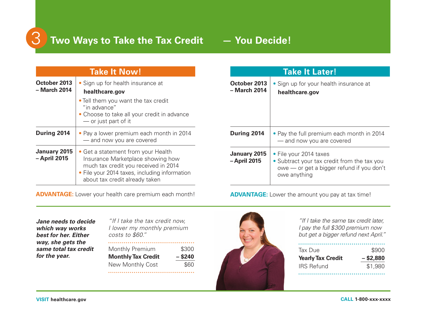

# 3 **Two Ways to Take the Tax Credit — You Decide!**

|                                     | <b>Take It Now!</b>                                                                                                                                                                                |
|-------------------------------------|----------------------------------------------------------------------------------------------------------------------------------------------------------------------------------------------------|
| October 2013<br>- March 2014        | • Sign up for health insurance at<br>healthcare.gov                                                                                                                                                |
|                                     | • Tell them you want the tax credit<br>"in advance"<br>• Choose to take all your credit in advance<br>- or just part of it                                                                         |
| During 2014                         | • Pay a lower premium each month in 2014<br>- and now you are covered                                                                                                                              |
| <b>January 2015</b><br>- April 2015 | • Get a statement from your Health<br>Insurance Marketplace showing how<br>much tax credit you received in 2014<br>• File your 2014 taxes, including information<br>about tax credit already taken |

| <b>ADVANTAGE:</b> Lower your health care premium each month! |  |  |
|--------------------------------------------------------------|--|--|

| <b>Take It Later!</b>               |                                                                                                                                    |  |
|-------------------------------------|------------------------------------------------------------------------------------------------------------------------------------|--|
| October 2013<br>– March 2014        | • Sign up for your health insurance at<br>healthcare.gov                                                                           |  |
| During 2014                         | • Pay the full premium each month in 2014<br>- and now you are covered                                                             |  |
| <b>January 2015</b><br>- April 2015 | • File your 2014 taxes<br>• Subtract your tax credit from the tax you<br>owe — or get a bigger refund if you don't<br>owe anything |  |

**ADVANTAGE:** Lower the amount you pay at tax time!

*Jane needs to decide which way works best for her. Either way, she gets the same total tax credit for the year.*

*"If I take the tax credit now, I lower my monthly premium costs to \$60."* Monthly Premium \$300

**Monthly Tax Credit – \$240** New Monthly Cost \$60



*"If I take the same tax credit later, I pay the full \$300 premium now but get a bigger refund next April."*

| Tax Due                  | \$900       |  |
|--------------------------|-------------|--|
| <b>Yearly Tax Credit</b> | $-$ \$2,880 |  |
| <b>IRS Refund</b>        | \$1,980     |  |
|                          |             |  |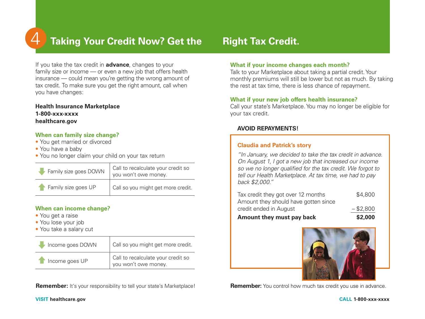

## $4$  **Taking Your Credit Now? Get the Hight Tax Credit.**

If you take the tax credit in **advance**, changes to your family size or income — or even a new job that offers health insurance — could mean you're getting the wrong amount of tax credit. To make sure you get the right amount, call when you have changes:

#### **Health Insurance Marketplace 1-800-xxx-xxxx healthcare.gov**

#### **When can family size change?**

- You get married or divorced
- You have a baby
- You no longer claim your child on your tax return

| Family size goes DOWN | Call to recalculate your credit so<br>you won't owe money. |
|-----------------------|------------------------------------------------------------|
| Family size goes UP   | Call so you might get more credit.                         |

#### **When can income change?**

- You get a raise
- You lose your job
- You take a salary cut

| Income goes DOWN | Call so you might get more credit.                         |
|------------------|------------------------------------------------------------|
| Theome goes UP   | Call to recalculate your credit so<br>you won't owe money. |

**Remember:** It's your responsibility to tell your state's Marketplace! **Remember:** You control how much tax credit you use in advance.

#### **What if your income changes each month?**

Talk to your Marketplace about taking a partial credit. Your monthly premiums will still be lower but not as much. By taking the rest at tax time, there is less chance of repayment.

#### **What if your new job offers health insurance?**

Call your state's Marketplace. You may no longer be eligible for your tax credit.

#### **AVOID REPAYMENTS!**

#### **Claudia and Patrick's story**

*"In January, we decided to take the tax credit in advance. On August 1, I got a new job that increased our income so we no longer qualified for the tax credit. We forgot to tell our Health Marketplace. At tax time, we had to pay back \$2,000."*

| Amount they must pay back            | \$2,000     |
|--------------------------------------|-------------|
| credit ended in August               | $-$ \$2,800 |
| Amount they should have gotten since |             |
| Tax credit they got over 12 months   | \$4,800     |